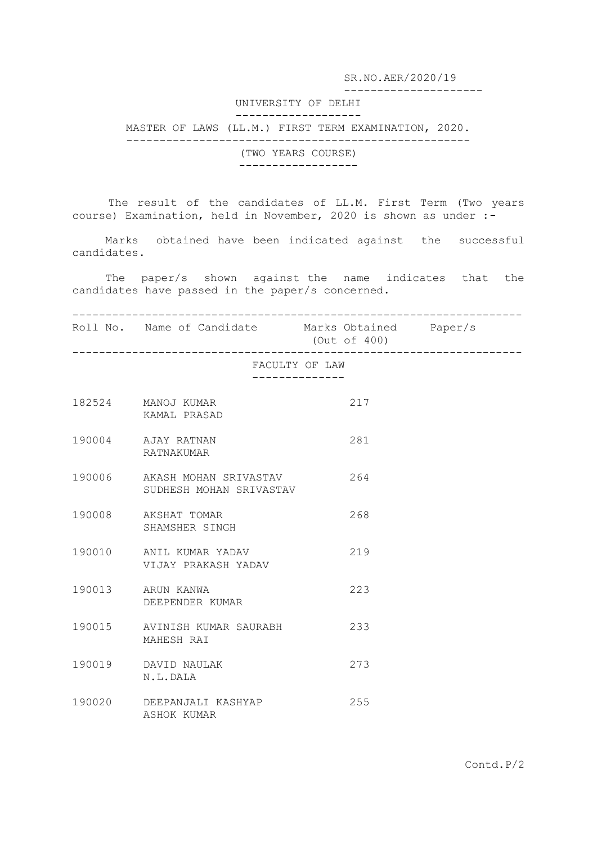SR.NO.AER/2020/19

---------------------

## UNIVERSITY OF DELHI

## -------------------

MASTER OF LAWS (LL.M.) FIRST TERM EXAMINATION, 2020.

----------------------------------------------------

(TWO YEARS COURSE) ------------------

The result of the candidates of LL.M. First Term (Two years course) Examination, held in November, 2020 is shown as under :-

 Marks obtained have been indicated against the successful candidates.

 The paper/s shown against the name indicates that the candidates have passed in the paper/s concerned.

--------------------------------------------------------------------

Roll No. Name of Candidate Marks Obtained Paper/s (Out of 400)

--------------------------------------------------------------------

## FACULTY OF LAW --------------

| 182524 | MANOJ KUMAR<br>KAMAL PRASAD                      | 217 |
|--------|--------------------------------------------------|-----|
|        | 190004 AJAY RATNAN<br><b>RATNAKUMAR</b>          | 281 |
| 190006 | AKASH MOHAN SRIVASTAV<br>SUDHESH MOHAN SRIVASTAV | 264 |
| 190008 | AKSHAT TOMAR<br>SHAMSHER SINGH                   | 268 |
| 190010 | ANTI, KUMAR YADAV<br>VIJAY PRAKASH YADAV         | 219 |
|        | 190013 ARUN KANWA<br>DEEPENDER KUMAR             | 223 |
| 190015 | AVINISH KUMAR SAURABH<br>MAHESH RAT              | 233 |
| 190019 | DAVID NAULAK<br>N.L.DALA                         | 273 |
| 190020 | DEEPANJALI KASHYAP<br>ASHOK KUMAR                | 255 |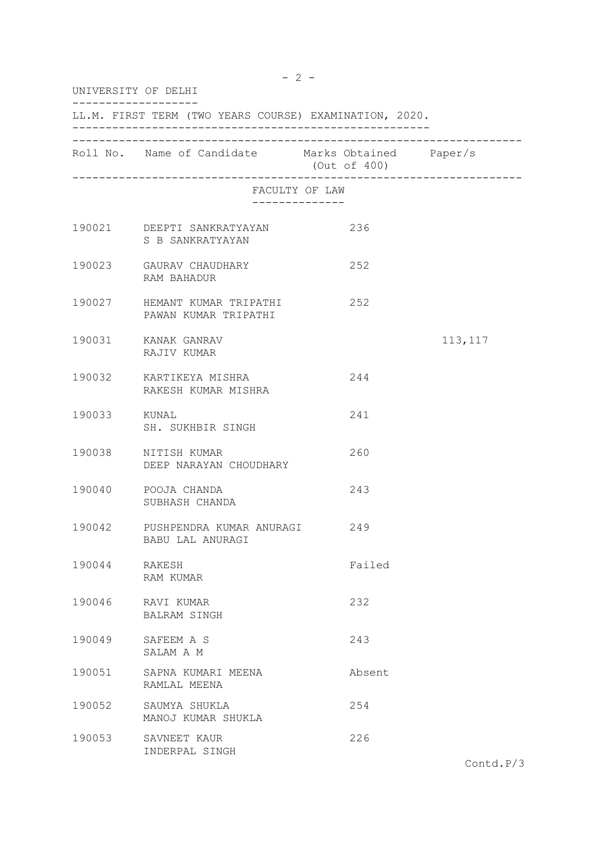| UNIVERSITY OF DELHI<br>LL.M. FIRST TERM (TWO YEARS COURSE) EXAMINATION, 2020. |                                                            |                              |          |  |  |  |
|-------------------------------------------------------------------------------|------------------------------------------------------------|------------------------------|----------|--|--|--|
|                                                                               |                                                            |                              |          |  |  |  |
|                                                                               | FACULTY OF LAW                                             | ____________________________ |          |  |  |  |
|                                                                               | 190021 DEEPTI SANKRATYAYAN<br>S B SANKRATYAYAN             | 236                          |          |  |  |  |
|                                                                               | 190023 GAURAV CHAUDHARY<br>RAM BAHADUR                     | 252                          |          |  |  |  |
|                                                                               | 190027 HEMANT KUMAR TRIPATHI<br>PAWAN KUMAR TRIPATHI       | 252                          |          |  |  |  |
|                                                                               | 190031 KANAK GANRAV<br>RAJIV KUMAR                         |                              | 113, 117 |  |  |  |
|                                                                               | 190032 KARTIKEYA MISHRA<br>RAKESH KUMAR MISHRA             | 244                          |          |  |  |  |
| 190033 KUNAL                                                                  | SH. SUKHBIR SINGH                                          | 241                          |          |  |  |  |
|                                                                               | 190038 NITISH KUMAR<br>DEEP NARAYAN CHOUDHARY              | 260                          |          |  |  |  |
|                                                                               | 190040 POOJA CHANDA<br>SUBHASH CHANDA                      | 243                          |          |  |  |  |
|                                                                               | 190042 PUSHPENDRA KUMAR ANURAGI<br><b>BABU LAL ANURAGI</b> | 249                          |          |  |  |  |
| 190044                                                                        | RAKESH<br>RAM KUMAR                                        | Failed                       |          |  |  |  |
| 190046                                                                        | RAVI KUMAR<br>BALRAM SINGH                                 | 232                          |          |  |  |  |
| 190049                                                                        | SAFEEM A S<br>SALAM A M                                    | 243                          |          |  |  |  |
| 190051                                                                        | SAPNA KUMARI MEENA<br>RAMLAL MEENA                         | Absent                       |          |  |  |  |
| 190052                                                                        | SAUMYA SHUKLA<br>MANOJ KUMAR SHUKLA                        | 254                          |          |  |  |  |
| 190053                                                                        | SAVNEET KAUR<br>INDERPAL SINGH                             | 226                          |          |  |  |  |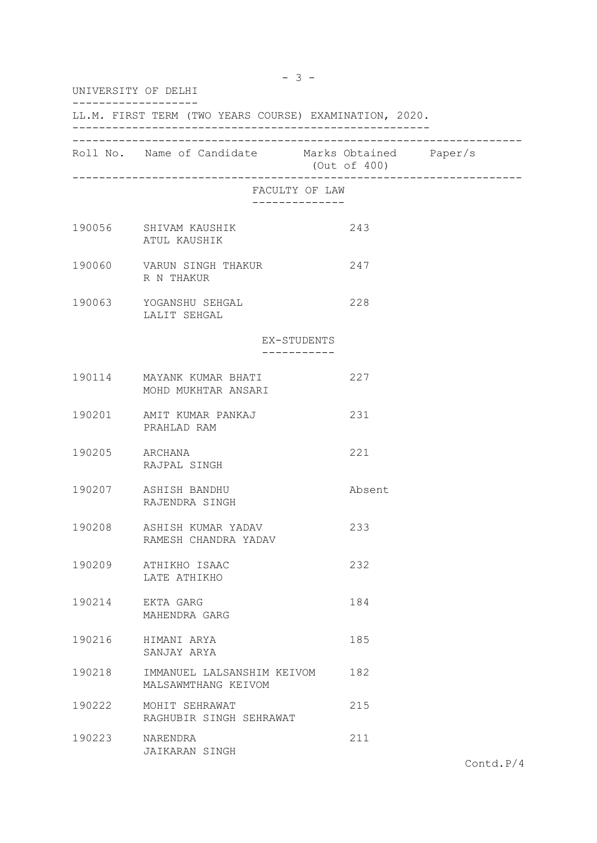| UNIVERSITY OF DELHI<br>LL.M. FIRST TERM (TWO YEARS COURSE) EXAMINATION, 2020. |                                                   |                |  |  |  |  |
|-------------------------------------------------------------------------------|---------------------------------------------------|----------------|--|--|--|--|
|                                                                               |                                                   |                |  |  |  |  |
|                                                                               |                                                   | FACULTY OF LAW |  |  |  |  |
|                                                                               | 190056 SHIVAM KAUSHIK<br>ATUL KAUSHIK             | 243            |  |  |  |  |
|                                                                               | 190060 VARUN SINGH THAKUR<br>R N THAKUR           | 247            |  |  |  |  |
|                                                                               | 190063 YOGANSHU SEHGAL<br>LALIT SEHGAL            | 228            |  |  |  |  |
|                                                                               |                                                   | EX-STUDENTS    |  |  |  |  |
|                                                                               | 190114 MAYANK KUMAR BHATI<br>MOHD MUKHTAR ANSARI  | 227            |  |  |  |  |
|                                                                               | 190201 AMIT KUMAR PANKAJ<br>PRAHLAD RAM           | 231            |  |  |  |  |
| 190205 ARCHANA                                                                | RAJPAL SINGH                                      | 221            |  |  |  |  |
|                                                                               | 190207 ASHISH BANDHU<br>RAJENDRA SINGH            | Absent         |  |  |  |  |
| 190208                                                                        | ASHISH KUMAR YADAV<br>RAMESH CHANDRA YADAV        | 233            |  |  |  |  |
| 190209                                                                        | ATHIKHO ISAAC<br>LATE ATHIKHO                     | 232            |  |  |  |  |
| 190214                                                                        | EKTA GARG<br>MAHENDRA GARG                        | 184            |  |  |  |  |
| 190216                                                                        | HIMANI ARYA<br>SANJAY ARYA                        | 185            |  |  |  |  |
| 190218                                                                        | IMMANUEL LALSANSHIM KEIVOM<br>MALSAWMTHANG KEIVOM | 182            |  |  |  |  |
| 190222                                                                        | MOHIT SEHRAWAT<br>RAGHUBIR SINGH SEHRAWAT         | 215            |  |  |  |  |
| 190223                                                                        | NARENDRA<br>JAIKARAN SINGH                        | 211            |  |  |  |  |